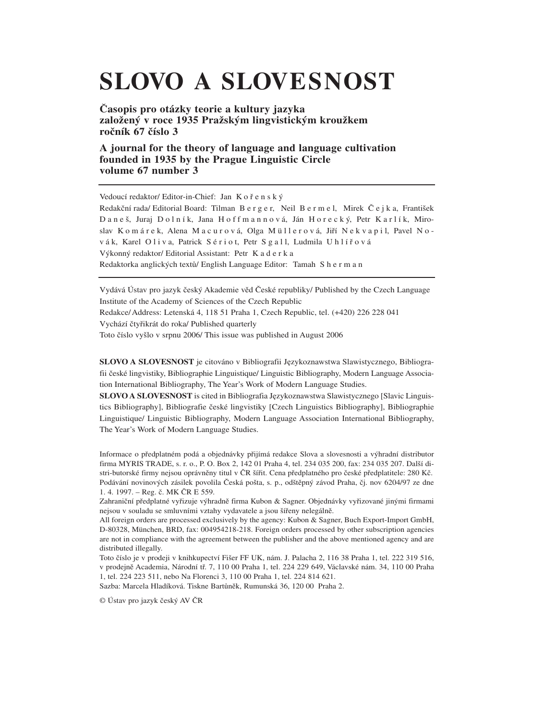# **SLOVO A SLOVESNOST**

**Časopis pro otázky teorie a kultury jazyka založený v roce 1935 Pražským lingvistickým kroužkem ročník 67 číslo 3**

## **A journal for the theory of language and language cultivation founded in 1935 by the Prague Linguistic Circle volume 67 number 3**

Vedoucí redaktor/ Editor-in-Chief: Jan K ořenský Redakční rada/ Editorial Board: Tilman B e r g e r, Neil B e r m e l, Mirek Č e j k a, František Daneš, Juraj Dolník, Jana Hoffmannová, Ján Horecký, Petr Karlík, Miroslav Komárek, Alena Macurová, Olga Müllerová, Jiří Nekvapil, Pavel Nov á k, Karel O l i v a, Patrick S é r i o t, Petr S g a l l, Ludmila Uhlířová Výkonný redaktor/ Editorial Assistant: Petr K a d e r k a Redaktorka anglických textů/ English Language Editor: Tamah Sherman

Vydává Ústav pro jazyk český Akademie věd České republiky/ Published by the Czech Language Institute of the Academy of Sciences of the Czech Republic Redakce/Address: Letenská 4, 118 51 Praha 1, Czech Republic, tel. (+420) 226 228 041 Vychází čtyřikrát do roka/ Published quarterly

Toto číslo vyšlo v srpnu 2006/ This issue was published in August 2006

**SLOVO A SLOVESNOST** je citováno v Bibliografii Językoznawstwa Slawistycznego, Bibliografii české lingvistiky, Bibliographie Linguistique/ Linguistic Bibliography, Modern Language Association International Bibliography, The Year's Work of Modern Language Studies.

**SLOVO A SLOVESNOST** is cited in Bibliografia Językoznawstwa Slawistycznego [Slavic Linguistics Bibliography], Bibliografie české lingvistiky [Czech Linguistics Bibliography], Bibliographie Linguistique/ Linguistic Bibliography, Modern Language Association International Bibliography, The Year's Work of Modern Language Studies.

Informace o předplatném podá a objednávky přijímá redakce Slova a slovesnosti a výhradní distributor firma MYRIS TRADE, s. r. o., P. O. Box 2, 142 01 Praha 4, tel. 234 035 200, fax: 234 035 207. Další distri-butorské firmy nejsou oprávněny titul v ČR šířit. Cena předplatného pro české předplatitele: 280 Kč. Podávání novinových zásilek povolila Česká pošta, s. p., odštěpný závod Praha, čj. nov 6204/97 ze dne 1. 4. 1997. – Reg. č. MK ČR E 559.

Zahraniční předplatné vyřizuje výhradně firma Kubon & Sagner. Objednávky vyřizované jinými firmami nejsou v souladu se smluvními vztahy vydavatele a jsou šířeny nelegálně.

All foreign orders are processed exclusively by the agency: Kubon & Sagner, Buch Export-Import GmbH, D-80328, München, BRD, fax: 004954218-218. Foreign orders processed by other subscription agencies are not in compliance with the agreement between the publisher and the above mentioned agency and are distributed illegally.

Toto číslo je v prodeji v knihkupectví Fišer FF UK, nám. J. Palacha 2, 116 38 Praha 1, tel. 222 319 516, v prodejně Academia, Národní tř. 7, 110 00 Praha 1, tel. 224 229 649, Václavské nám. 34, 110 00 Praha 1, tel. 224 223 511, nebo Na Florenci 3, 110 00 Praha 1, tel. 224 814 621.

Sazba: Marcela Hladíková. Tiskne Bartůněk, Rumunská 36, 120 00 Praha 2.

© Ústav pro jazyk český AV ČR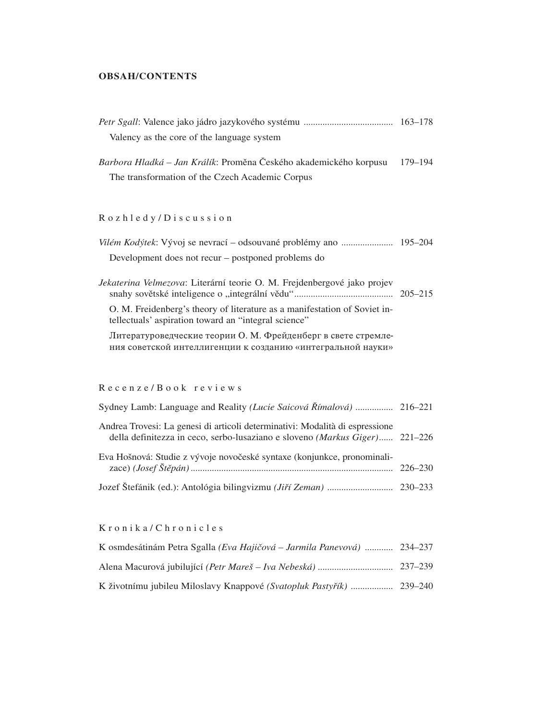#### **OBSAH/CONTENTS**

| Valency as the core of the language system                                                                                        |         |
|-----------------------------------------------------------------------------------------------------------------------------------|---------|
| Barbora Hladká – Jan Králík: Proměna Českého akademického korpusu                                                                 | 179-194 |
| The transformation of the Czech Academic Corpus                                                                                   |         |
|                                                                                                                                   |         |
| Rozhledy/Discussion                                                                                                               |         |
|                                                                                                                                   |         |
| Development does not recur – postponed problems do                                                                                |         |
| Jekaterina Velmezova: Literární teorie O. M. Frejdenbergové jako projev                                                           |         |
| O. M. Freidenberg's theory of literature as a manifestation of Soviet in-<br>tellectuals' aspiration toward an "integral science" |         |
| Литературоведческие теории О. М. Фрейденберг в свете стремле-<br>ния советской интеллигенции к созданию «интегральной науки»      |         |
|                                                                                                                                   |         |
| Recenze/Book reviews                                                                                                              |         |

# Sydney Lamb: Language and Reality *(Lucie Saicová Římalová)* ................ 216–221 Andrea Trovesi: La genesi di articoli determinativi: Modalità di espressione della definitezza in ceco, serbo-lusaziano e sloveno *(Markus Giger)*...... 221–226 Eva Hošnová: Studie z vývoje novočeské syntaxe (konjunkce, pronominalizace) *(Josef Štěpán)*...................................................................................... 226–230 Jozef Štefánik (ed.): Antológia bilingvizmu *(Jiří Zeman)* ............................ 230–233

K r o n i k a / C h r o n i c l e s

| K osmdesátinám Petra Sgalla (Eva Hajičová – Jarmila Panevová)  234–237 |  |
|------------------------------------------------------------------------|--|
|                                                                        |  |
|                                                                        |  |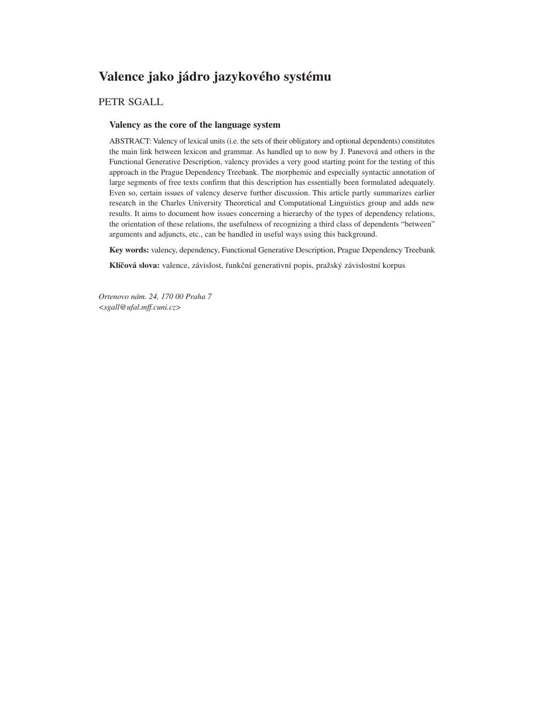# **Valence jako jádro jazykového systému**

## PETR SGALL

#### **Valency as the core of the language system**

ABSTRACT: Valency of lexical units (i.e. the sets of their obligatory and optional dependents) constitutes the main link between lexicon and grammar. As handled up to now by J. Panevová and others in the Functional Generative Description, valency provides a very good starting point for the testing of this approach in the Prague Dependency Treebank. The morphemic and especially syntactic annotation of large segments of free texts confirm that this description has essentially been formulated adequately. Even so, certain issues of valency deserve further discussion. This article partly summarizes earlier research in the Charles University Theoretical and Computational Linguistics group and adds new results. It aims to document how issues concerning a hierarchy of the types of dependency relations, the orientation of these relations, the usefulness of recognizing a third class of dependents "between" arguments and adjuncts, etc., can be handled in useful ways using this background.

**Key words:** valency, dependency, Functional Generative Description, Prague Dependency Treebank

**Klíčová slova:** valence, závislost, funkční generativní popis, pražský závislostní korpus

*Ortenovo nám. 24, 170 00 Praha 7 <sgall@ufal.mff.cuni.cz>*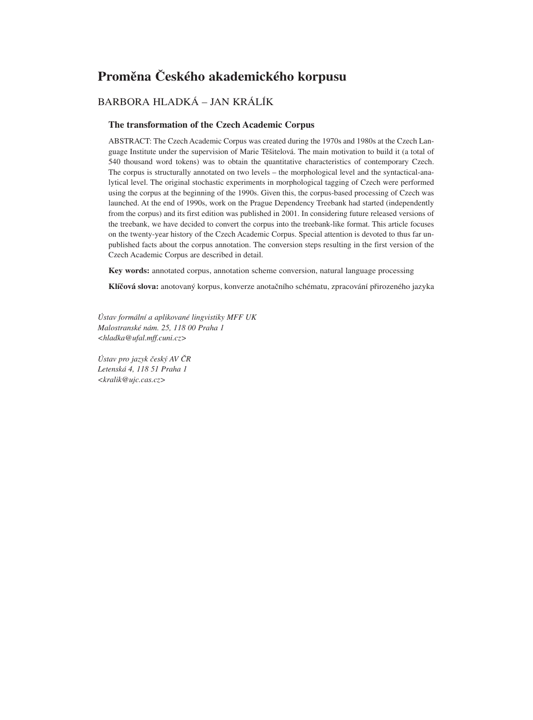## **Proměna Českého akademického korpusu**

## BARBORA HLADKÁ – JAN KRÁLÍK

#### **The transformation of the Czech Academic Corpus**

ABSTRACT: The Czech Academic Corpus was created during the 1970s and 1980s at the Czech Language Institute under the supervision of Marie Těšitelová. The main motivation to build it (a total of 540 thousand word tokens) was to obtain the quantitative characteristics of contemporary Czech. The corpus is structurally annotated on two levels – the morphological level and the syntactical-analytical level. The original stochastic experiments in morphological tagging of Czech were performed using the corpus at the beginning of the 1990s. Given this, the corpus-based processing of Czech was launched. At the end of 1990s, work on the Prague Dependency Treebank had started (independently from the corpus) and its first edition was published in 2001. In considering future released versions of the treebank, we have decided to convert the corpus into the treebank-like format. This article focuses on the twenty-year history of the Czech Academic Corpus. Special attention is devoted to thus far unpublished facts about the corpus annotation. The conversion steps resulting in the first version of the Czech Academic Corpus are described in detail.

**Key words:** annotated corpus, annotation scheme conversion, natural language processing

**Klíčová slova:** anotovaný korpus, konverze anotačního schématu, zpracování přirozeného jazyka

*Ústav formální a aplikované lingvistiky MFF UK Malostranské nám. 25, 118 00 Praha 1 <hladka@ufal.mff.cuni.cz>*

*Ústav pro jazyk český AV ČR Letenská 4, 118 51 Praha 1 <kralik@ujc.cas.cz>*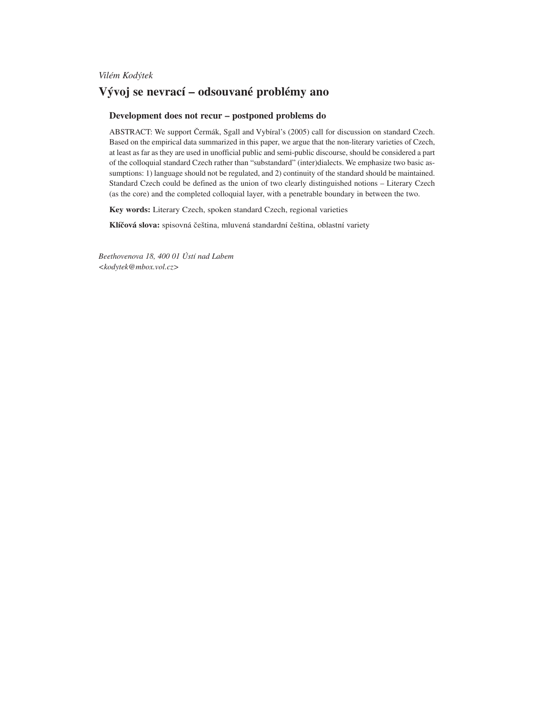*Vilém Kodýtek*

## **Vývoj se nevrací – odsouvané problémy ano**

#### **Development does not recur – postponed problems do**

ABSTRACT: We support Čermák, Sgall and Vybíral's (2005) call for discussion on standard Czech. Based on the empirical data summarized in this paper, we argue that the non-literary varieties of Czech, at least as far as they are used in unofficial public and semi-public discourse, should be considered a part of the colloquial standard Czech rather than "substandard" (inter)dialects. We emphasize two basic assumptions: 1) language should not be regulated, and 2) continuity of the standard should be maintained. Standard Czech could be defined as the union of two clearly distinguished notions – Literary Czech (as the core) and the completed colloquial layer, with a penetrable boundary in between the two.

**Key words:** Literary Czech, spoken standard Czech, regional varieties

**Klíčová slova:** spisovná čeština, mluvená standardní čeština, oblastní variety

*Beethovenova 18, 400 01 Ústí nad Labem <kodytek@mbox.vol.cz>*